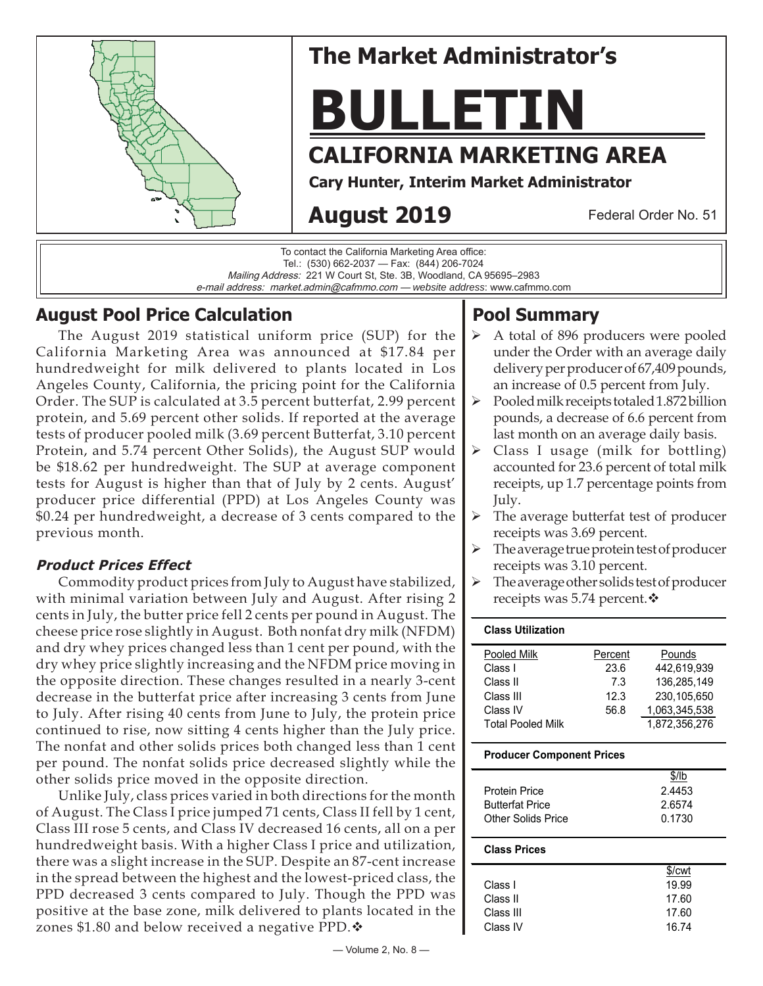

# **The Market Administrator's**

# **BULLETIN**

# **CALIFORNIA MARKETING AREA**

**Cary Hunter, Interim Market Administrator**

# **August 2019**

Federal Order No. 51

To contact the California Marketing Area office: Tel.: (530) 662-2037 — Fax: (844) 206-7024 Mailing Address: 221 W Court St, Ste. 3B, Woodland, CA 95695–2983 e-mail address: market.admin@cafmmo.com — *website address*: www.cafmmo.com

# **August Pool Price Calculation**

The August 2019 statistical uniform price (SUP) for the California Marketing Area was announced at \$17.84 per hundredweight for milk delivered to plants located in Los Angeles County, California, the pricing point for the California Order. The SUP is calculated at 3.5 percent butterfat, 2.99 percent protein, and 5.69 percent other solids. If reported at the average tests of producer pooled milk (3.69 percent Butterfat, 3.10 percent Protein, and 5.74 percent Other Solids), the August SUP would be \$18.62 per hundredweight. The SUP at average component tests for August is higher than that of July by 2 cents. August' producer price differential (PPD) at Los Angeles County was \$0.24 per hundredweight, a decrease of 3 cents compared to the previous month.

## **Product Prices Effect**

Commodity product prices from July to August have stabilized, with minimal variation between July and August. After rising 2 cents in July, the butter price fell 2 cents per pound in August. The cheese price rose slightly in August. Both nonfat dry milk (NFDM) and dry whey prices changed less than 1 cent per pound, with the dry whey price slightly increasing and the NFDM price moving in the opposite direction. These changes resulted in a nearly 3-cent decrease in the butterfat price after increasing 3 cents from June to July. After rising 40 cents from June to July, the protein price continued to rise, now sitting 4 cents higher than the July price. The nonfat and other solids prices both changed less than 1 cent per pound. The nonfat solids price decreased slightly while the other solids price moved in the opposite direction.

Unlike July, class prices varied in both directions for the month of August. The Class I price jumped 71 cents, Class II fell by 1 cent, Class III rose 5 cents, and Class IV decreased 16 cents, all on a per hundredweight basis. With a higher Class I price and utilization, there was a slight increase in the SUP. Despite an 87-cent increase in the spread between the highest and the lowest-priced class, the PPD decreased 3 cents compared to July. Though the PPD was positive at the base zone, milk delivered to plants located in the zones \$1.80 and below received a negative PPD. $\clubsuit$ 

# **Pool Summary**

- A total of 896 producers were pooled under the Order with an average daily delivery per producer of 67,409 pounds, an increase of 0.5 percent from July.
- $\triangleright$  Pooled milk receipts totaled 1.872 billion pounds, a decrease of 6.6 percent from last month on an average daily basis.
- $\triangleright$  Class I usage (milk for bottling) accounted for 23.6 percent of total milk receipts, up 1.7 percentage points from July.
- $\triangleright$  The average butterfat test of producer receipts was 3.69 percent.
- $\triangleright$  The average true protein test of producer receipts was 3.10 percent.
- The average other solids test of producer receipts was 5.74 percent. ❖

#### **Class Utilization**

| Percent | Pounds        |
|---------|---------------|
| 23.6    | 442.619.939   |
| 7.3     | 136,285,149   |
| 12.3    | 230.105.650   |
| 56.8    | 1,063,345,538 |
|         | 1,872,356,276 |
|         |               |

#### **Producer Component Prices**

|                        | $$$ /lb |
|------------------------|---------|
| <b>Protein Price</b>   | 2.4453  |
| <b>Butterfat Price</b> | 2.6574  |
| Other Solids Price     | 0.1730  |
|                        |         |

#### **Class Prices**

|           | \$/cwt |
|-----------|--------|
| Class L   | 19.99  |
| Class II  | 17.60  |
| Class III | 17.60  |
| Class IV  | 16.74  |
|           |        |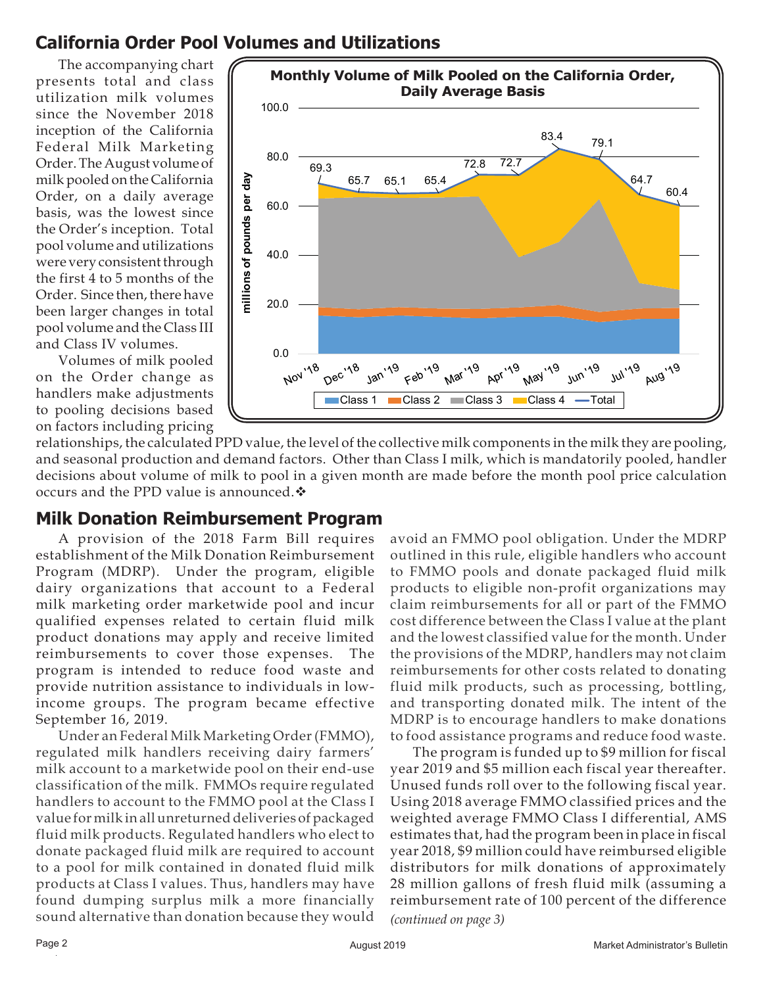# **California Order Pool Volumes and Utilizations**

The accompanying chart presents total and class utilization milk volumes since the November 2018 inception of the California Federal Milk Marketing Order. The August volume of milk pooled on the California Order, on a daily average basis, was the lowest since the Order's inception. Total pool volume and utilizations were very consistent through the first 4 to 5 months of the Order. Since then, there have been larger changes in total pool volume and the Class III and Class IV volumes.

Volumes of milk pooled on the Order change as handlers make adjustments to pooling decisions based on factors including pricing



relationships, the calculated PPD value, the level of the collective milk components in the milk they are pooling, and seasonal production and demand factors. Other than Class I milk, which is mandatorily pooled, handler decisions about volume of milk to pool in a given month are made before the month pool price calculation occurs and the PPD value is announced.

## **Milk Donation Reimbursement Program**

A provision of the 2018 Farm Bill requires establishment of the Milk Donation Reimbursement Program (MDRP). Under the program, eligible dairy organizations that account to a Federal milk marketing order marketwide pool and incur qualified expenses related to certain fluid milk product donations may apply and receive limited reimbursements to cover those expenses. The program is intended to reduce food waste and provide nutrition assistance to individuals in lowincome groups. The program became effective September 16, 2019.

Under an Federal Milk Marketing Order (FMMO), regulated milk handlers receiving dairy farmers' milk account to a marketwide pool on their end-use classification of the milk. FMMOs require regulated handlers to account to the FMMO pool at the Class I value for milk in all unreturned deliveries of packaged fluid milk products. Regulated handlers who elect to donate packaged fluid milk are required to account to a pool for milk contained in donated fluid milk products at Class I values. Thus, handlers may have found dumping surplus milk a more financially sound alternative than donation because they would

avoid an FMMO pool obligation. Under the MDRP outlined in this rule, eligible handlers who account to FMMO pools and donate packaged fluid milk products to eligible non-profit organizations may claim reimbursements for all or part of the FMMO cost difference between the Class I value at the plant and the lowest classified value for the month. Under the provisions of the MDRP, handlers may not claim reimbursements for other costs related to donating fluid milk products, such as processing, bottling, and transporting donated milk. The intent of the MDRP is to encourage handlers to make donations to food assistance programs and reduce food waste.

*(continued on page 3)* The program is funded up to \$9 million for fiscal year 2019 and \$5 million each fiscal year thereafter. Unused funds roll over to the following fiscal year. Using 2018 average FMMO classified prices and the weighted average FMMO Class I differential, AMS estimates that, had the program been in place in fiscal year 2018, \$9 million could have reimbursed eligible distributors for milk donations of approximately 28 million gallons of fresh fluid milk (assuming a reimbursement rate of 100 percent of the difference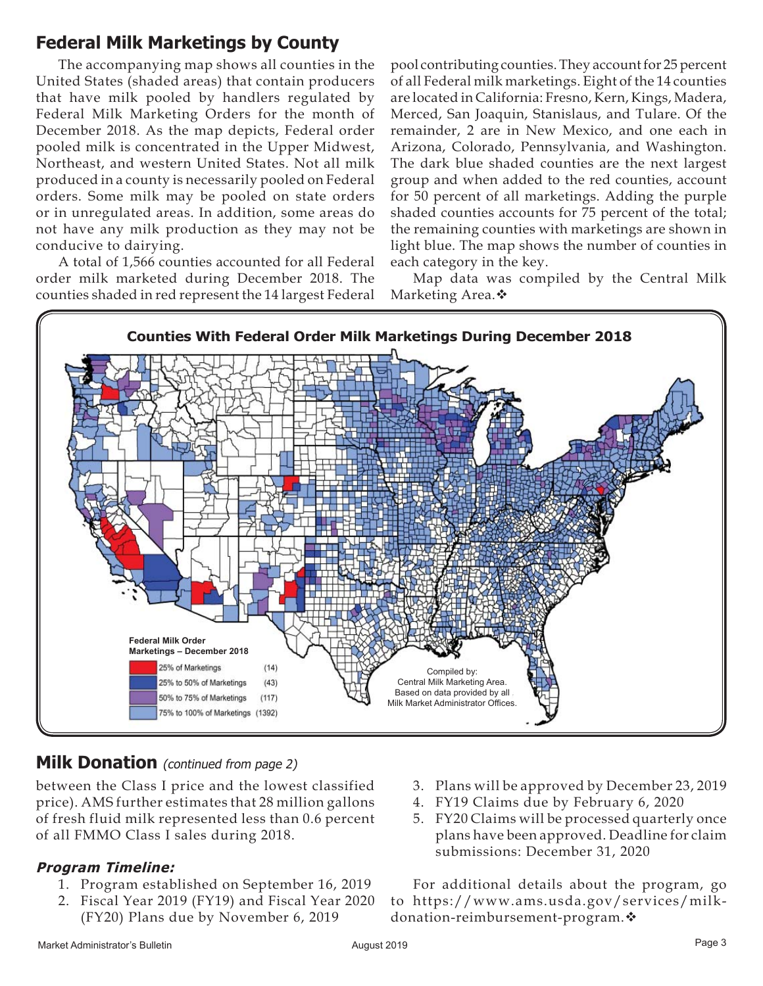# **Federal Milk Marketings by County**

The accompanying map shows all counties in the United States (shaded areas) that contain producers that have milk pooled by handlers regulated by Federal Milk Marketing Orders for the month of December 2018. As the map depicts, Federal order pooled milk is concentrated in the Upper Midwest, Northeast, and western United States. Not all milk produced in a county is necessarily pooled on Federal orders. Some milk may be pooled on state orders or in unregulated areas. In addition, some areas do not have any milk production as they may not be conducive to dairying.

A total of 1,566 counties accounted for all Federal order milk marketed during December 2018. The counties shaded in red represent the 14 largest Federal

pool contributing counties. They account for 25 percent of all Federal milk marketings. Eight of the 14 counties are located in California: Fresno, Kern, Kings, Madera, Merced, San Joaquin, Stanislaus, and Tulare. Of the remainder, 2 are in New Mexico, and one each in Arizona, Colorado, Pennsylvania, and Washington. The dark blue shaded counties are the next largest group and when added to the red counties, account for 50 percent of all marketings. Adding the purple shaded counties accounts for 75 percent of the total; the remaining counties with marketings are shown in light blue. The map shows the number of counties in each category in the key.

Map data was compiled by the Central Milk Marketing Area. ❖



# **Milk Donation** (continued from page 2)

between the Class I price and the lowest classified price). AMS further estimates that 28 million gallons of fresh fluid milk represented less than 0.6 percent of all FMMO Class I sales during 2018.

## **Program Timeline:**

- 1. Program established on September 16, 2019
- 2. Fiscal Year 2019 (FY19) and Fiscal Year 2020 (FY20) Plans due by November 6, 2019
- 3. Plans will be approved by December 23, 2019
- 4. FY19 Claims due by February 6, 2020
- 5. FY20 Claims will be processed quarterly once plans have been approved. Deadline for claim submissions: December 31, 2020

For additional details about the program, go to https://www.ams.usda.gov/services/milkdonation-reimbursement-program.  $\mathbf{\hat{*}}$